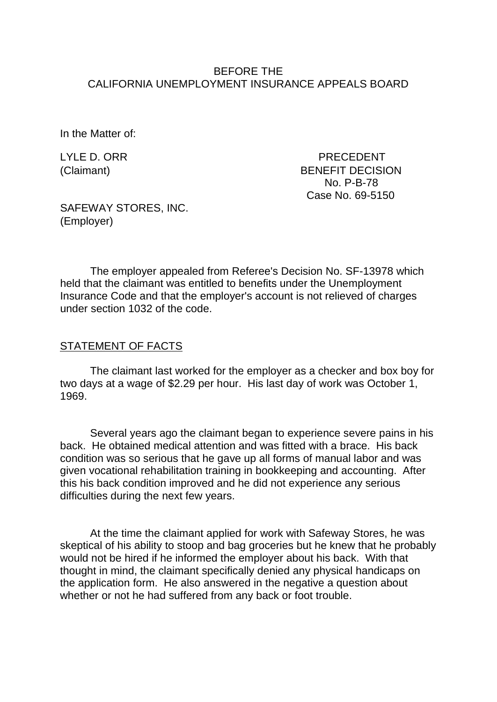#### BEFORE THE CALIFORNIA UNEMPLOYMENT INSURANCE APPEALS BOARD

In the Matter of:

LYLE D. ORR PRECEDENT (Claimant) BENEFIT DECISION No. P-B-78 Case No. 69-5150

SAFEWAY STORES, INC. (Employer)

The employer appealed from Referee's Decision No. SF-13978 which held that the claimant was entitled to benefits under the Unemployment Insurance Code and that the employer's account is not relieved of charges under section 1032 of the code.

#### STATEMENT OF FACTS

The claimant last worked for the employer as a checker and box boy for two days at a wage of \$2.29 per hour. His last day of work was October 1, 1969.

Several years ago the claimant began to experience severe pains in his back. He obtained medical attention and was fitted with a brace. His back condition was so serious that he gave up all forms of manual labor and was given vocational rehabilitation training in bookkeeping and accounting. After this his back condition improved and he did not experience any serious difficulties during the next few years.

At the time the claimant applied for work with Safeway Stores, he was skeptical of his ability to stoop and bag groceries but he knew that he probably would not be hired if he informed the employer about his back. With that thought in mind, the claimant specifically denied any physical handicaps on the application form. He also answered in the negative a question about whether or not he had suffered from any back or foot trouble.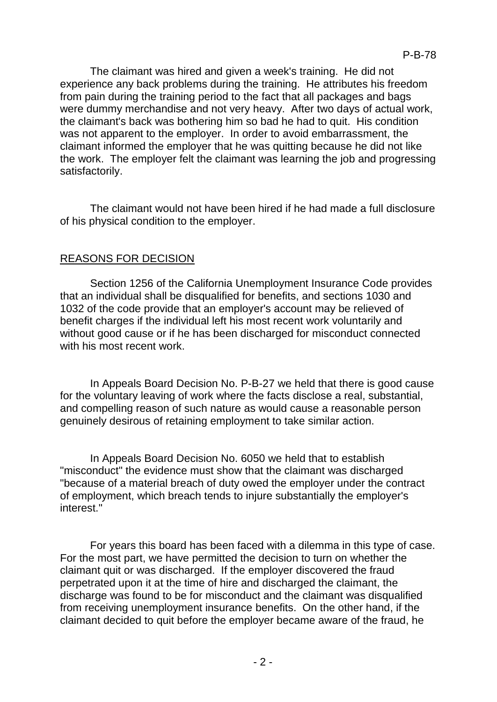The claimant was hired and given a week's training. He did not experience any back problems during the training. He attributes his freedom from pain during the training period to the fact that all packages and bags were dummy merchandise and not very heavy. After two days of actual work, the claimant's back was bothering him so bad he had to quit. His condition was not apparent to the employer. In order to avoid embarrassment, the claimant informed the employer that he was quitting because he did not like the work. The employer felt the claimant was learning the job and progressing satisfactorily.

The claimant would not have been hired if he had made a full disclosure of his physical condition to the employer.

# REASONS FOR DECISION

Section 1256 of the California Unemployment Insurance Code provides that an individual shall be disqualified for benefits, and sections 1030 and 1032 of the code provide that an employer's account may be relieved of benefit charges if the individual left his most recent work voluntarily and without good cause or if he has been discharged for misconduct connected with his most recent work.

In Appeals Board Decision No. P-B-27 we held that there is good cause for the voluntary leaving of work where the facts disclose a real, substantial, and compelling reason of such nature as would cause a reasonable person genuinely desirous of retaining employment to take similar action.

In Appeals Board Decision No. 6050 we held that to establish "misconduct" the evidence must show that the claimant was discharged "because of a material breach of duty owed the employer under the contract of employment, which breach tends to injure substantially the employer's interest."

For years this board has been faced with a dilemma in this type of case. For the most part, we have permitted the decision to turn on whether the claimant quit or was discharged. If the employer discovered the fraud perpetrated upon it at the time of hire and discharged the claimant, the discharge was found to be for misconduct and the claimant was disqualified from receiving unemployment insurance benefits. On the other hand, if the claimant decided to quit before the employer became aware of the fraud, he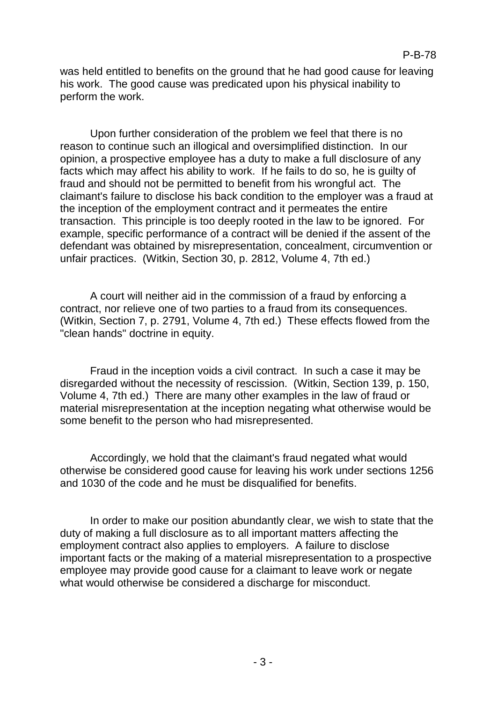was held entitled to benefits on the ground that he had good cause for leaving his work. The good cause was predicated upon his physical inability to perform the work.

Upon further consideration of the problem we feel that there is no reason to continue such an illogical and oversimplified distinction. In our opinion, a prospective employee has a duty to make a full disclosure of any facts which may affect his ability to work. If he fails to do so, he is guilty of fraud and should not be permitted to benefit from his wrongful act. The claimant's failure to disclose his back condition to the employer was a fraud at the inception of the employment contract and it permeates the entire transaction. This principle is too deeply rooted in the law to be ignored. For example, specific performance of a contract will be denied if the assent of the defendant was obtained by misrepresentation, concealment, circumvention or unfair practices. (Witkin, Section 30, p. 2812, Volume 4, 7th ed.)

A court will neither aid in the commission of a fraud by enforcing a contract, nor relieve one of two parties to a fraud from its consequences. (Witkin, Section 7, p. 2791, Volume 4, 7th ed.) These effects flowed from the "clean hands" doctrine in equity.

Fraud in the inception voids a civil contract. In such a case it may be disregarded without the necessity of rescission. (Witkin, Section 139, p. 150, Volume 4, 7th ed.) There are many other examples in the law of fraud or material misrepresentation at the inception negating what otherwise would be some benefit to the person who had misrepresented.

Accordingly, we hold that the claimant's fraud negated what would otherwise be considered good cause for leaving his work under sections 1256 and 1030 of the code and he must be disqualified for benefits.

In order to make our position abundantly clear, we wish to state that the duty of making a full disclosure as to all important matters affecting the employment contract also applies to employers. A failure to disclose important facts or the making of a material misrepresentation to a prospective employee may provide good cause for a claimant to leave work or negate what would otherwise be considered a discharge for misconduct.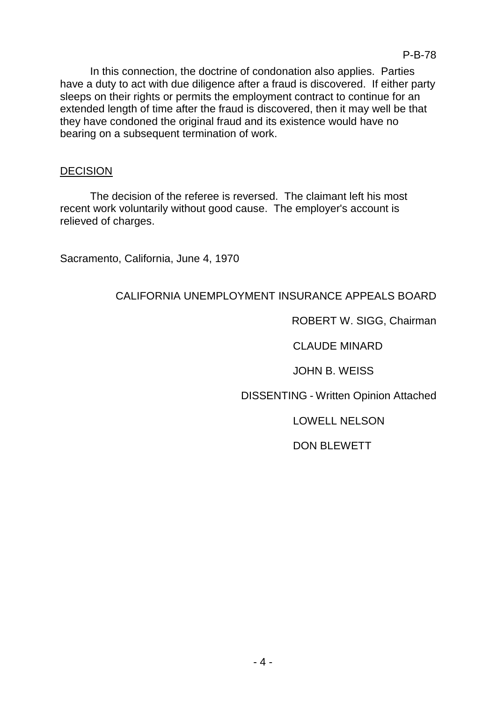In this connection, the doctrine of condonation also applies. Parties have a duty to act with due diligence after a fraud is discovered. If either party sleeps on their rights or permits the employment contract to continue for an extended length of time after the fraud is discovered, then it may well be that they have condoned the original fraud and its existence would have no bearing on a subsequent termination of work.

### **DECISION**

The decision of the referee is reversed. The claimant left his most recent work voluntarily without good cause. The employer's account is relieved of charges.

Sacramento, California, June 4, 1970

# CALIFORNIA UNEMPLOYMENT INSURANCE APPEALS BOARD

## ROBERT W. SIGG, Chairman

CLAUDE MINARD

JOHN B. WEISS

DISSENTING - Written Opinion Attached

LOWELL NELSON

DON BLEWETT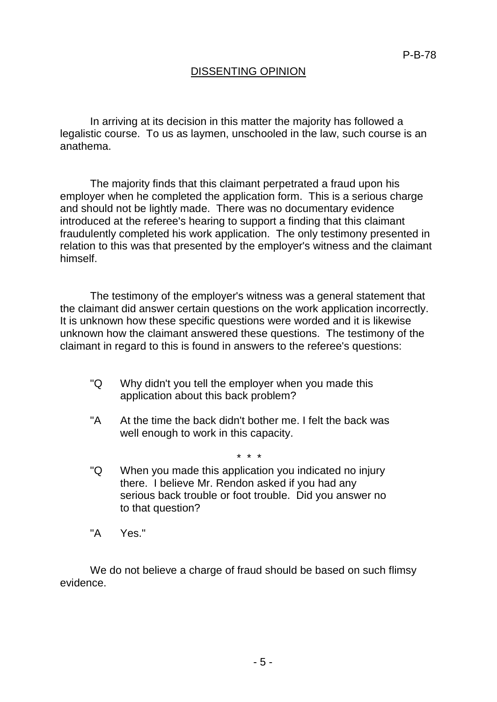### DISSENTING OPINION

In arriving at its decision in this matter the majority has followed a legalistic course. To us as laymen, unschooled in the law, such course is an anathema.

The majority finds that this claimant perpetrated a fraud upon his employer when he completed the application form. This is a serious charge and should not be lightly made. There was no documentary evidence introduced at the referee's hearing to support a finding that this claimant fraudulently completed his work application. The only testimony presented in relation to this was that presented by the employer's witness and the claimant himself.

The testimony of the employer's witness was a general statement that the claimant did answer certain questions on the work application incorrectly. It is unknown how these specific questions were worded and it is likewise unknown how the claimant answered these questions. The testimony of the claimant in regard to this is found in answers to the referee's questions:

- "Q Why didn't you tell the employer when you made this application about this back problem?
- "A At the time the back didn't bother me. I felt the back was well enough to work in this capacity.

\* \* \*

- "Q When you made this application you indicated no injury there. I believe Mr. Rendon asked if you had any serious back trouble or foot trouble. Did you answer no to that question?
- "A Yes."

We do not believe a charge of fraud should be based on such flimsy evidence.